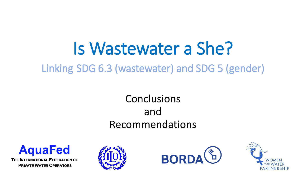Linking SDG 6.3 (wastewater) and SDG 5 (gender)

## **Conclusions** and Recommendations



THE INTERNATIONAL FEDERATION OF **PRIVATE WATER OPERATORS** 





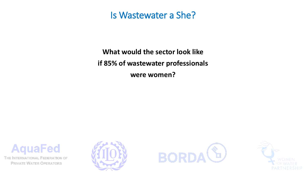**What would the sector look like if 85% of wastewater professionals were women?**





**AquaFed** 

THE INTERNATIONAL FEDERATION OF **PRIVATE WATER OPERATORS** 

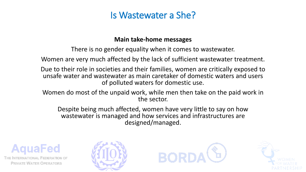#### **Main take-home messages**

There is no gender equality when it comes to wastewater.

Women are very much affected by the lack of sufficient wastewater treatment.

Due to their role in societies and their families, women are critically exposed to unsafe water and wastewater as main caretaker of domestic waters and users of polluted waters for domestic use.

Women do most of the unpaid work, while men then take on the paid work in the sector.

Despite being much affected, women have very little to say on how wastewater is managed and how services and infrastructures are designed/managed.







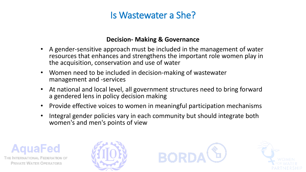#### **Decision- Making & Governance**

- A gender-sensitive approach must be included in the management of water resources that enhances and strengthens the important role women play in the acquisition, conservation and use of water
- Women need to be included in decision-making of wastewater management and -services
- At national and local level, all government structures need to bring forward a gendered lens in policy decision making
- Provide effective voices to women in meaningful participation mechanisms
- Integral gender policies vary in each community but should integrate both women's and men's points of view







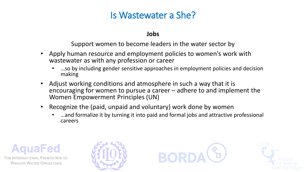#### **Jobs**

Support women to become leaders in the water sector by

- Apply human resource and employment policies to women's work with wastewater as with any profession or career
	- ...so by including gender sensitive approaches in employment policies and decision making
- Adjust working conditions and atmosphere in such a way that it is encouraging for women to pursue a career – adhere to and implement the Women Empowerment Principles (UN)
- Recognize the (paid, unpaid and voluntary) work done by women
	- ...and formalize it by turning it into paid and formal jobs and attractive professional careers







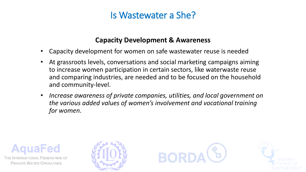#### **Capacity Development & Awareness**

- Capacity development for women on safe wastewater reuse is needed
- At grassroots levels, conversations and social marketing campaigns aiming to increase women participation in certain sectors, like waterwaste reuse and comparing industries, are needed and to be focused on the household and community-level.
- *Increase awareness of private companies, utilities, and local government on the various added values of women's involvement and vocational training for women.*







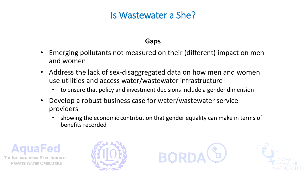#### **Gaps**

- Emerging pollutants not measured on their (different) impact on men and women
- Address the lack of sex-disaggregated data on how men and women use utilities and access water/wastewater infrastructure
	- to ensure that policy and investment decisions include a gender dimension
- Develop a robust business case for water/wastewater service providers
	- showing the economic contribution that gender equality can make in terms of benefits recorded